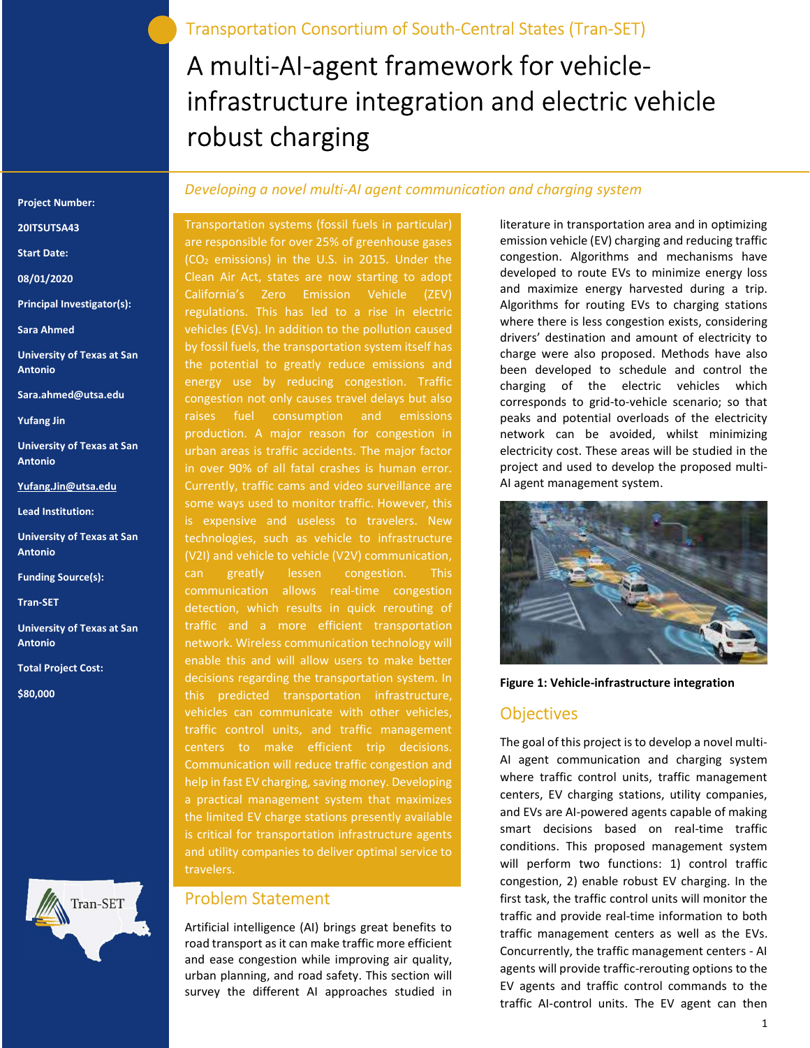# A multi-AI-agent framework for vehicleinfrastructure integration and electric vehicle robust charging

#### Project Number:

### 20ITSUTSA43

Start Date:

- 08/01/2020
- Principal Investigator(s):

Sara Ahmed

- University of Texas at San Antonio
- Sara.ahmed@utsa.edu
- Yufang Jin
- University of Texas at San Antonio
- Yufang.Jin@utsa.edu
- Lead Institution:
- University of Texas at San Antonio
- Funding Source(s):

Tran-SET

- University of Texas at San Antonio
- Total Project Cost:

\$80,000



### Developing a novel multi-AI agent communication and charging system

Transportation systems (fossil fuels in particular) are responsible for over 25% of greenhouse gases (CO2 emissions) in the U.S. in 2015. Under the Clean Air Act, states are now starting to adopt California's Zero Emission Vehicle (ZEV) regulations. This has led to a rise in electric vehicles (EVs). In addition to the pollution caused by fossil fuels, the transportation system itself has the potential to greatly reduce emissions and energy use by reducing congestion. Traffic congestion not only causes travel delays but also raises fuel consumption and emissions production. A major reason for congestion in urban areas is traffic accidents. The major factor in over 90% of all fatal crashes is human error. Currently, traffic cams and video surveillance are some ways used to monitor traffic. However, this is expensive and useless to travelers. New technologies, such as vehicle to infrastructure (V2I) and vehicle to vehicle (V2V) communication, can greatly lessen congestion. This communication allows real-time congestion detection, which results in quick rerouting of traffic and a more efficient transportation network. Wireless communication technology will enable this and will allow users to make better decisions regarding the transportation system. In this predicted transportation infrastructure, vehicles can communicate with other vehicles, traffic control units, and traffic management centers to make efficient trip decisions. Communication will reduce traffic congestion and help in fast EV charging, saving money. Developing a practical management system that maximizes the limited EV charge stations presently available is critical for transportation infrastructure agents and utility companies to deliver optimal service to travelers.

### Problem Statement

Artificial intelligence (AI) brings great benefits to road transport as it can make traffic more efficient and ease congestion while improving air quality, urban planning, and road safety. This section will survey the different AI approaches studied in

literature in transportation area and in optimizing emission vehicle (EV) charging and reducing traffic congestion. Algorithms and mechanisms have developed to route EVs to minimize energy loss and maximize energy harvested during a trip. Algorithms for routing EVs to charging stations where there is less congestion exists, considering drivers' destination and amount of electricity to charge were also proposed. Methods have also been developed to schedule and control the charging of the electric vehicles which corresponds to grid-to-vehicle scenario; so that peaks and potential overloads of the electricity network can be avoided, whilst minimizing electricity cost. These areas will be studied in the project and used to develop the proposed multi-AI agent management system.



Figure 1: Vehicle-infrastructure integration

### **Objectives**

The goal of this project is to develop a novel multi-AI agent communication and charging system where traffic control units, traffic management centers, EV charging stations, utility companies, and EVs are AI-powered agents capable of making smart decisions based on real-time traffic conditions. This proposed management system will perform two functions: 1) control traffic congestion, 2) enable robust EV charging. In the first task, the traffic control units will monitor the traffic and provide real-time information to both traffic management centers as well as the EVs. Concurrently, the traffic management centers - AI agents will provide traffic-rerouting options to the EV agents and traffic control commands to the traffic AI-control units. The EV agent can then